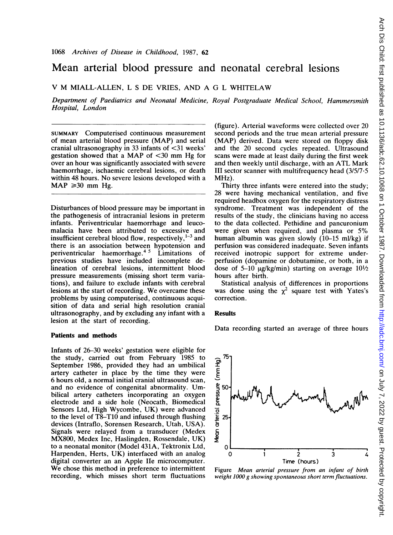# Mean arterial blood pressure and neonatal cerebral lesions

## V M MIALL-ALLEN, <sup>L</sup> <sup>S</sup> DE VRIES, AND A G <sup>L</sup> WHITELAW

Department of Paediatrics and Neonatal Medicine, Royal Postgraduate Medical School, Hammersmith Hospital, London

SUMMARY Computerised continuous measurement of mean arterial blood pressure (MAP) and serial cranial ultrasonography in 33 infants of  $\langle 31 \rangle$  weeks' gestation showed that a MAP of  $\leq$ 30 mm Hg for over an hour was significantly associated with severe haemorrhage, ischaemic cerebral lesions, or death within 48 hours. No severe lesions developed with <sup>a</sup>  $MAP \geq 30$  mm Hg.

Disturbances of blood pressure may be important in the pathogenesis of intracranial lesions in preterm infants. Periventricular haemorrhage and leucomalacia have been attributed to excessive and insufficient cerebral blood flow, respectively,  $1-3$  and there is an association between hypotension and periventricular haemorrhage.4 <sup>5</sup> Limitations of previous studies have included incomplete delineation of cerebral lesions, intermittent blood pressure measurements (missing short term variations), and failure to exclude infants with cerebral lesions at the start of recording. We overcame these problems by using computerised, continuous acquisition of data and serial high resolution cranial ultrasonography, and by excluding any infant with a lesion at the start of recording.

#### Patients and methods

Infants of 26-30 weeks' gestation were eligible for the study, carried out from February 1985 to September 1986, provided they had an umbilical artery catheter in place by the time they were 6 hours old, a normal initial cranial ultrasound scan, and no evidence of congenital abnormality. Umbilical artery catheters incorporating an oxygen electrode and a side hole (Neocath, Biomedical Sensors Ltd, High Wycombe, UK) were advanced to the level of T8-T1O and infused through flushing devices (Intraflo, Sorensen Research, Utah, USA). Signals were relayed from a transducer (Medex MX800, Medex Inc, Haslingden, Rossendale, UK) to a neonatal monitor (Model 431A, Tektronix Ltd, Harpenden, Herts, UK) interfaced with an analog digital converter an an Apple lIe microcomputer. We chose this method in preference to intermittent recording, which misses short term fluctuations

(figure). Arterial waveforms were collected over 20 second periods and the true mean arterial pressure (MAP) derived. Data were stored on floppy disk and the 20 second cycles repeated. Ultrasound scans were made at least daily during the first week and then weekly until discharge, with an ATL Mark III sector scanner with multifrequency head (3/5/7.5 MHz).

Thirty three infants were entered into the study; 28 were having mechanical ventilation, and five required headbox oxygen for the respiratory distress syndrome. Treatment was independent of the results of the study, the clinicians having no access to the data collected. Pethidine and pancuronium were given when required, and plasma or 5% human albumin was given slowly (10-15 ml/kg) if perfusion was considered inadequate. Seven infants received inotropic support for extreme underperfusion (dopamine or dobutamine, or both, in a dose of 5-10  $\mu$ g/kg/min) starting on average 10<sup>1</sup>/2 hours after birth.

Statistical analysis of differences in proportions was done using the  $\chi^2$  square test with Yates's correction.

### Results

Data recording started an average of three hours



Figure Mean arterial pressure from an infant of birth weight 1000 g showing spontaneous short term fluctuations.